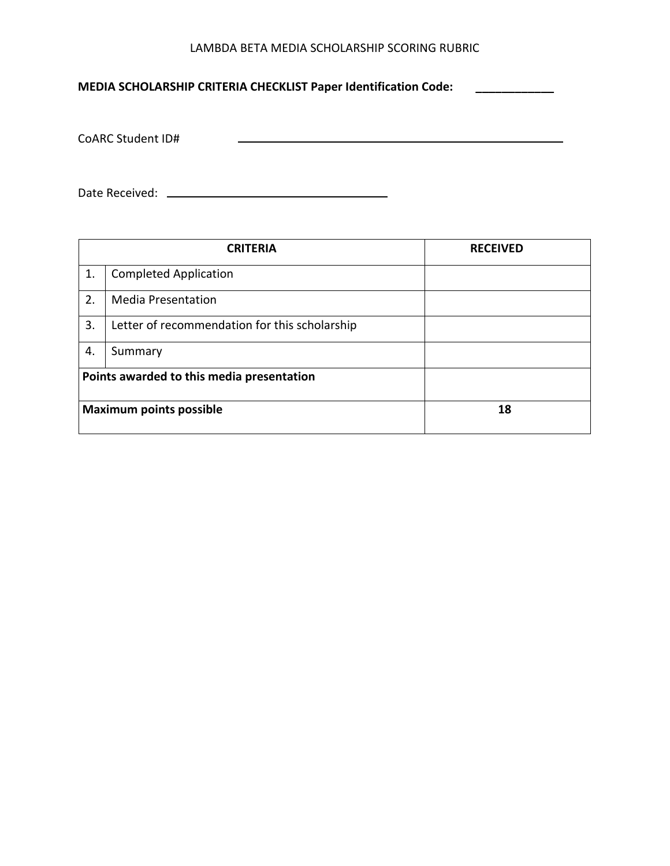## LAMBDA BETA MEDIA SCHOLARSHIP SCORING RUBRIC

**MEDIA SCHOLARSHIP CRITERIA CHECKLIST Paper Identification Code: \_\_\_\_\_\_\_\_\_\_\_\_**

CoARC Student ID#

Date Received:

|    | <b>CRITERIA</b>                               | <b>RECEIVED</b> |
|----|-----------------------------------------------|-----------------|
| 1. | <b>Completed Application</b>                  |                 |
| 2. | <b>Media Presentation</b>                     |                 |
| 3. | Letter of recommendation for this scholarship |                 |
| 4. | Summary                                       |                 |
|    | Points awarded to this media presentation     |                 |
|    | <b>Maximum points possible</b>                | 18              |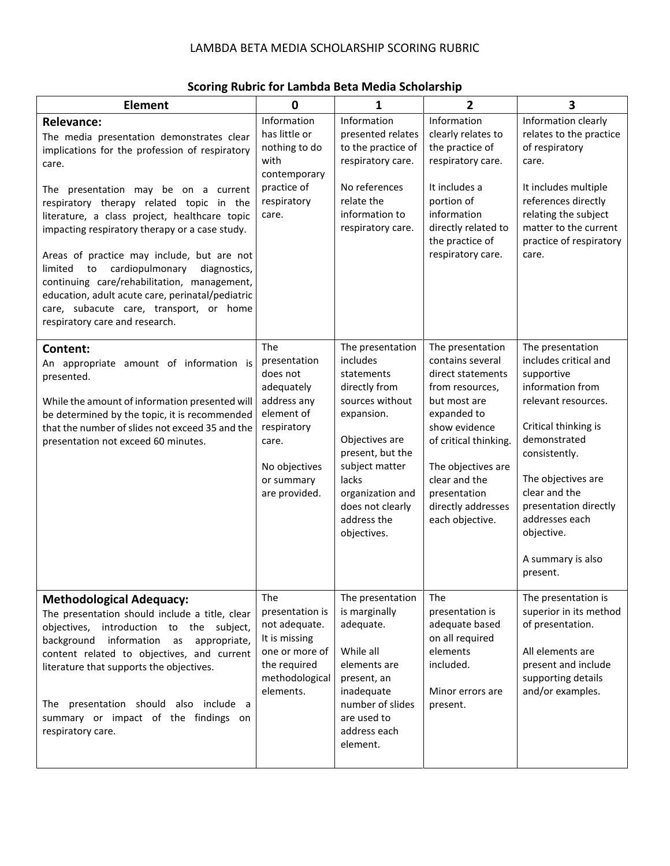## LAMBDA BETA MEDIA SCHOLARSHIP SCORING RUBRIC

| <b>Element</b>                                                                                                                                                                                                                                                                                                                                                                                                                                                                                                                                                                                        | $\mathbf 0$                                                                                                                                        | 1                                                                                                                                                                                                                                   | 2                                                                                                                                                                                                                                                     | 3                                                                                                                                                                                                                                                                                            |
|-------------------------------------------------------------------------------------------------------------------------------------------------------------------------------------------------------------------------------------------------------------------------------------------------------------------------------------------------------------------------------------------------------------------------------------------------------------------------------------------------------------------------------------------------------------------------------------------------------|----------------------------------------------------------------------------------------------------------------------------------------------------|-------------------------------------------------------------------------------------------------------------------------------------------------------------------------------------------------------------------------------------|-------------------------------------------------------------------------------------------------------------------------------------------------------------------------------------------------------------------------------------------------------|----------------------------------------------------------------------------------------------------------------------------------------------------------------------------------------------------------------------------------------------------------------------------------------------|
| <b>Relevance:</b><br>The media presentation demonstrates clear<br>implications for the profession of respiratory<br>care.<br>presentation may be on a current<br>The<br>respiratory therapy related topic in the<br>literature, a class project, healthcare topic<br>impacting respiratory therapy or a case study.<br>Areas of practice may include, but are not<br>cardiopulmonary<br>limited<br>diagnostics,<br>to<br>continuing care/rehabilitation, management,<br>education, adult acute care, perinatal/pediatric<br>care, subacute care, transport, or home<br>respiratory care and research. | Information<br>has little or<br>nothing to do<br>with<br>contemporary<br>practice of<br>respiratory<br>care.                                       | Information<br>presented relates<br>to the practice of<br>respiratory care.<br>No references<br>relate the<br>information to<br>respiratory care.                                                                                   | Information<br>clearly relates to<br>the practice of<br>respiratory care.<br>It includes a<br>portion of<br>information<br>directly related to<br>the practice of<br>respiratory care.                                                                | Information clearly<br>relates to the practice<br>of respiratory<br>care.<br>It includes multiple<br>references directly<br>relating the subject<br>matter to the current<br>practice of respiratory<br>care.                                                                                |
| Content:<br>An appropriate amount of information is<br>presented.<br>While the amount of information presented will<br>be determined by the topic, it is recommended<br>that the number of slides not exceed 35 and the<br>presentation not exceed 60 minutes.                                                                                                                                                                                                                                                                                                                                        | The<br>presentation<br>does not<br>adequately<br>address any<br>element of<br>respiratory<br>care.<br>No objectives<br>or summary<br>are provided. | The presentation<br>includes<br>statements<br>directly from<br>sources without<br>expansion.<br>Objectives are<br>present, but the<br>subject matter<br>lacks<br>organization and<br>does not clearly<br>address the<br>objectives. | The presentation<br>contains several<br>direct statements<br>from resources,<br>but most are<br>expanded to<br>show evidence<br>of critical thinking.<br>The objectives are<br>clear and the<br>presentation<br>directly addresses<br>each objective. | The presentation<br>includes critical and<br>supportive<br>information from<br>relevant resources.<br>Critical thinking is<br>demonstrated<br>consistently.<br>The objectives are<br>clear and the<br>presentation directly<br>addresses each<br>objective.<br>A summary is also<br>present. |
| <b>Methodological Adequacy:</b><br>The presentation should include a title, clear<br>introduction to the subject,<br>objectives,<br>background<br>information<br>appropriate,<br>as<br>content related to objectives, and current<br>literature that supports the objectives.<br>The presentation should also include a<br>summary or impact of the findings on<br>respiratory care.                                                                                                                                                                                                                  | The<br>presentation is<br>not adequate.<br>It is missing<br>one or more of<br>the required<br>methodological<br>elements.                          | The presentation<br>is marginally<br>adequate.<br>While all<br>elements are<br>present, an<br>inadequate<br>number of slides<br>are used to<br>address each<br>element.                                                             | The<br>presentation is<br>adequate based<br>on all required<br>elements<br>included.<br>Minor errors are<br>present.                                                                                                                                  | The presentation is<br>superior in its method<br>of presentation.<br>All elements are<br>present and include<br>supporting details<br>and/or examples.                                                                                                                                       |

## **Scoring Rubric for Lambda Beta Media Scholarship**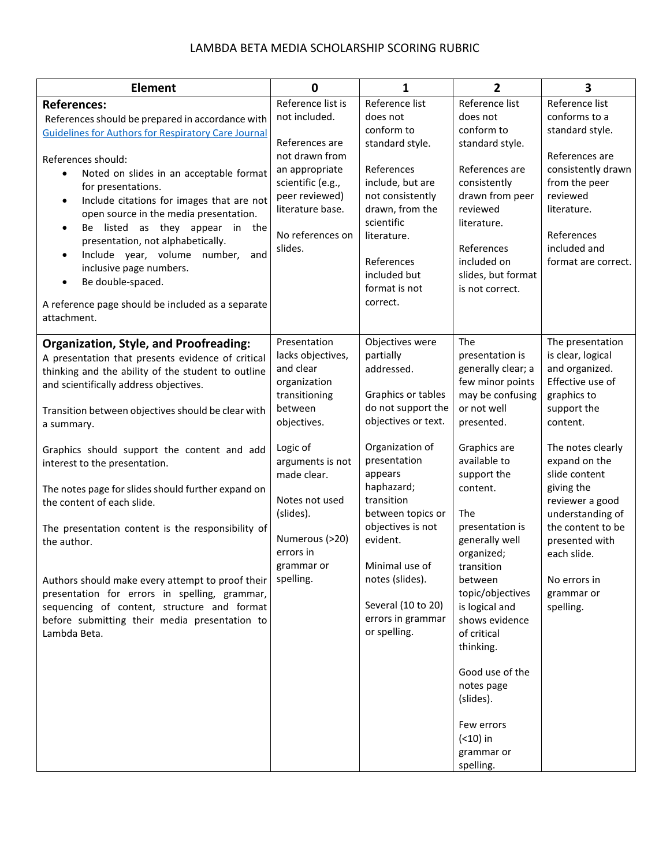## LAMBDA BETA MEDIA SCHOLARSHIP SCORING RUBRIC

| <b>Element</b>                                                                                                                                                                                                                                                                                                                                                                                                                                                                                                                                                                                                                                                                                                                      | $\mathbf 0$                                                                                                                                                                                                                                       | $\mathbf{1}$                                                                                                                                                                                                                                                                                                                                  | $\mathbf{2}$                                                                                                                                                                                                                                                                                                                                                                                                                                               | $\overline{\mathbf{3}}$                                                                                                                                                                                                                                                                                                            |
|-------------------------------------------------------------------------------------------------------------------------------------------------------------------------------------------------------------------------------------------------------------------------------------------------------------------------------------------------------------------------------------------------------------------------------------------------------------------------------------------------------------------------------------------------------------------------------------------------------------------------------------------------------------------------------------------------------------------------------------|---------------------------------------------------------------------------------------------------------------------------------------------------------------------------------------------------------------------------------------------------|-----------------------------------------------------------------------------------------------------------------------------------------------------------------------------------------------------------------------------------------------------------------------------------------------------------------------------------------------|------------------------------------------------------------------------------------------------------------------------------------------------------------------------------------------------------------------------------------------------------------------------------------------------------------------------------------------------------------------------------------------------------------------------------------------------------------|------------------------------------------------------------------------------------------------------------------------------------------------------------------------------------------------------------------------------------------------------------------------------------------------------------------------------------|
| <b>References:</b><br>References should be prepared in accordance with<br><b>Guidelines for Authors for Respiratory Care Journal</b><br>References should:<br>Noted on slides in an acceptable format<br>$\bullet$<br>for presentations.<br>Include citations for images that are not<br>$\bullet$<br>open source in the media presentation.<br>Be listed as they appear in the<br>$\bullet$<br>presentation, not alphabetically.<br>Include year, volume number,<br>and<br>$\bullet$<br>inclusive page numbers.<br>Be double-spaced.<br>$\bullet$<br>A reference page should be included as a separate<br>attachment.                                                                                                              | Reference list is<br>not included.<br>References are<br>not drawn from<br>an appropriate<br>scientific (e.g.,<br>peer reviewed)<br>literature base.<br>No references on<br>slides.                                                                | Reference list<br>does not<br>conform to<br>standard style.<br>References<br>include, but are<br>not consistently<br>drawn, from the<br>scientific<br>literature.<br>References<br>included but<br>format is not<br>correct.                                                                                                                  | Reference list<br>does not<br>conform to<br>standard style.<br>References are<br>consistently<br>drawn from peer<br>reviewed<br>literature.<br>References<br>included on<br>slides, but format<br>is not correct.                                                                                                                                                                                                                                          | Reference list<br>conforms to a<br>standard style.<br>References are<br>consistently drawn<br>from the peer<br>reviewed<br>literature.<br>References<br>included and<br>format are correct.                                                                                                                                        |
| <b>Organization, Style, and Proofreading:</b><br>A presentation that presents evidence of critical<br>thinking and the ability of the student to outline<br>and scientifically address objectives.<br>Transition between objectives should be clear with<br>a summary.<br>Graphics should support the content and add<br>interest to the presentation.<br>The notes page for slides should further expand on<br>the content of each slide.<br>The presentation content is the responsibility of<br>the author.<br>Authors should make every attempt to proof their<br>presentation for errors in spelling, grammar,<br>sequencing of content, structure and format<br>before submitting their media presentation to<br>Lambda Beta. | Presentation<br>lacks objectives,<br>and clear<br>organization<br>transitioning<br>between<br>objectives.<br>Logic of<br>arguments is not<br>made clear.<br>Notes not used<br>(slides).<br>Numerous (>20)<br>errors in<br>grammar or<br>spelling. | Objectives were<br>partially<br>addressed.<br>Graphics or tables<br>do not support the<br>objectives or text.<br>Organization of<br>presentation<br>appears<br>haphazard;<br>transition<br>between topics or<br>objectives is not<br>evident.<br>Minimal use of<br>notes (slides).<br>Several (10 to 20)<br>errors in grammar<br>or spelling. | The<br>presentation is<br>generally clear; a<br>few minor points<br>may be confusing<br>or not well<br>presented.<br>Graphics are<br>available to<br>support the<br>content.<br>The<br>presentation is<br>generally well<br>organized;<br>transition<br>between<br>topic/objectives<br>is logical and<br>shows evidence<br>of critical<br>thinking.<br>Good use of the<br>notes page<br>(slides).<br>Few errors<br>$( < 10)$ in<br>grammar or<br>spelling. | The presentation<br>is clear, logical<br>and organized.<br>Effective use of<br>graphics to<br>support the<br>content.<br>The notes clearly<br>expand on the<br>slide content<br>giving the<br>reviewer a good<br>understanding of<br>the content to be<br>presented with<br>each slide.<br>No errors in<br>grammar or<br>spelling. |